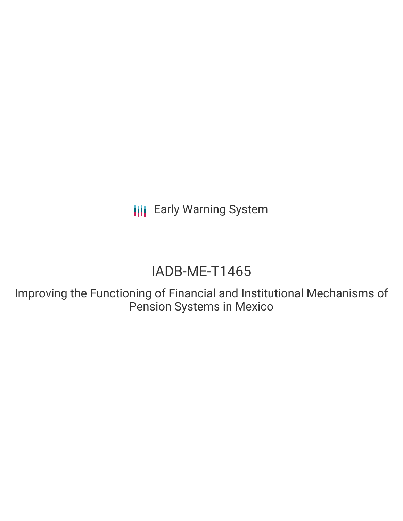**III** Early Warning System

# IADB-ME-T1465

Improving the Functioning of Financial and Institutional Mechanisms of Pension Systems in Mexico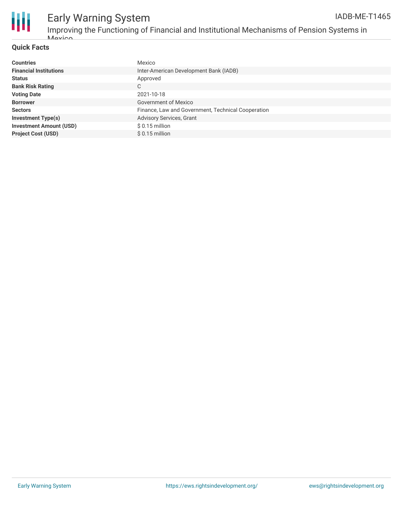



## Early Warning System

Improving the Functioning of Financial and Institutional Mechanisms of Pension Systems in Movico

### **Quick Facts**

| <b>Countries</b>               | Mexico                                             |
|--------------------------------|----------------------------------------------------|
| <b>Financial Institutions</b>  | Inter-American Development Bank (IADB)             |
| <b>Status</b>                  | Approved                                           |
| <b>Bank Risk Rating</b>        | C                                                  |
| <b>Voting Date</b>             | 2021-10-18                                         |
| <b>Borrower</b>                | Government of Mexico                               |
| <b>Sectors</b>                 | Finance, Law and Government, Technical Cooperation |
| <b>Investment Type(s)</b>      | <b>Advisory Services, Grant</b>                    |
| <b>Investment Amount (USD)</b> | $$0.15$ million                                    |
| <b>Project Cost (USD)</b>      | $$0.15$ million                                    |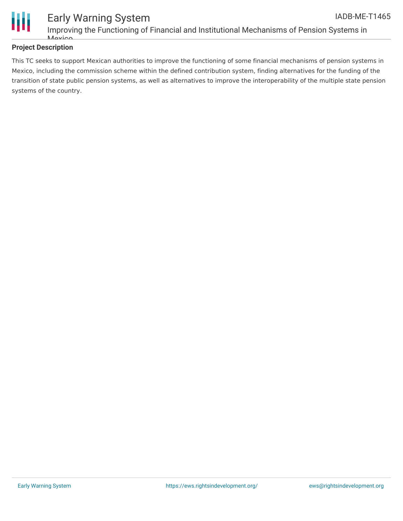

### **Project Description**

This TC seeks to support Mexican authorities to improve the functioning of some financial mechanisms of pension systems in Mexico, including the commission scheme within the defined contribution system, finding alternatives for the funding of the transition of state public pension systems, as well as alternatives to improve the interoperability of the multiple state pension systems of the country.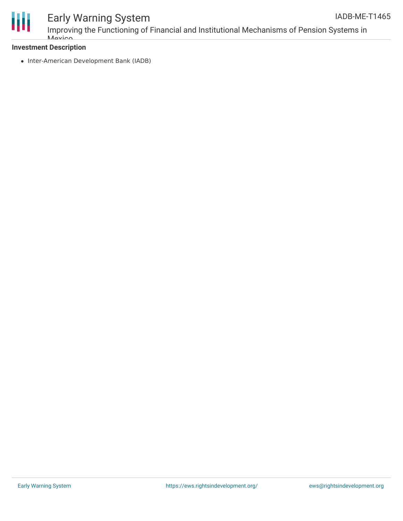

### Early Warning System

Improving the Functioning of Financial and Institutional Mechanisms of Pension Systems in *Movico* 

### **Investment Description**

• Inter-American Development Bank (IADB)